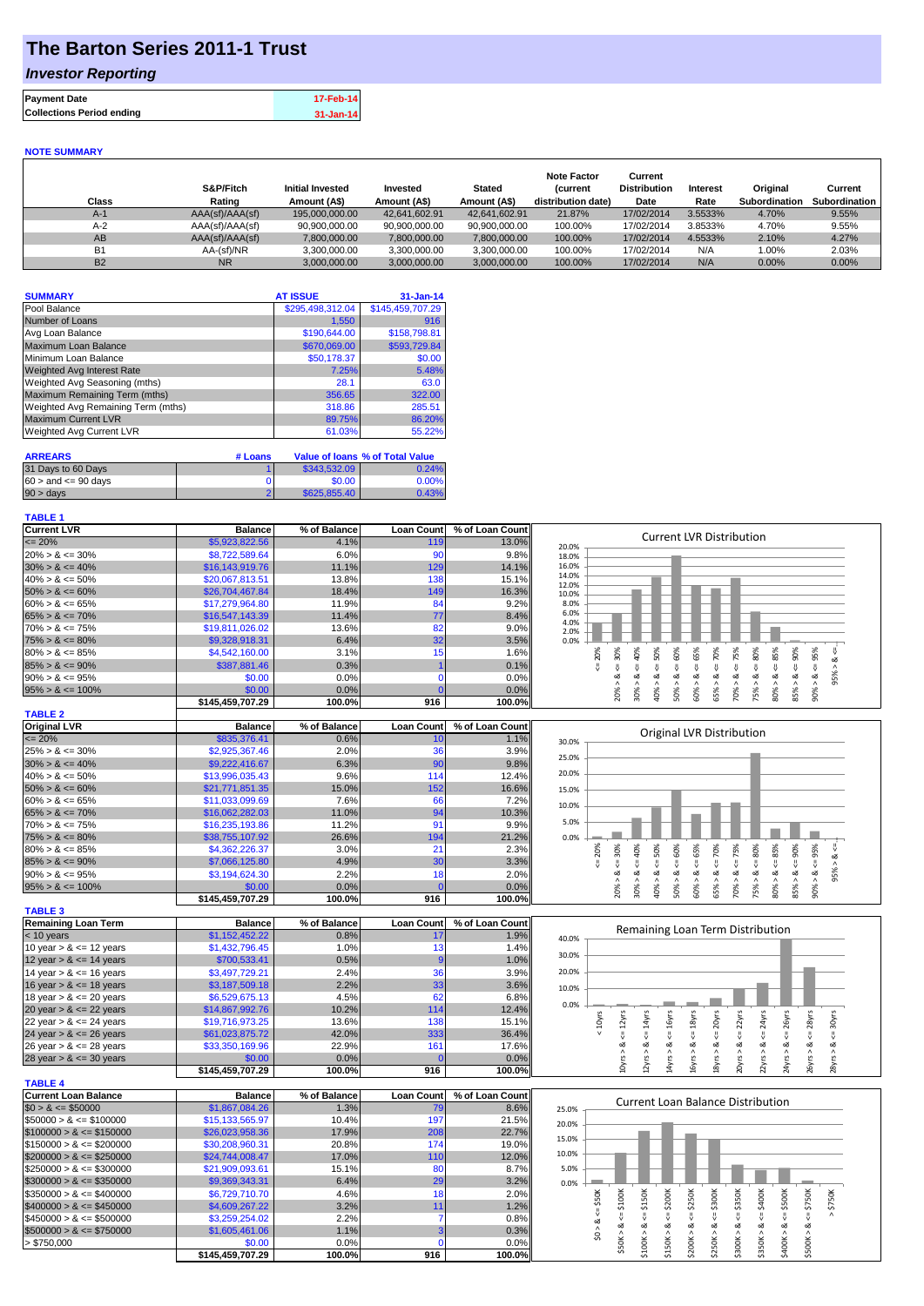# **The Barton Series 2011-1 Trust**

## *Investor Reporting*

| <b>Payment Date</b>              | 17-Feb-14     |
|----------------------------------|---------------|
| <b>Collections Period ending</b> | $31 - Jan-14$ |

#### **NOTE SUMMARY**

| Class          | S&P/Fitch<br>Rating | <b>Initial Invested</b><br>Amount (A\$) | Invested<br>Amount (A\$) | <b>Stated</b><br>Amount (A\$) | <b>Note Factor</b><br><b>Current</b><br>distribution date) | Current<br><b>Distribution</b><br>Date | Interest<br>Rate | Original<br>Subordination | Current<br>Subordination |
|----------------|---------------------|-----------------------------------------|--------------------------|-------------------------------|------------------------------------------------------------|----------------------------------------|------------------|---------------------------|--------------------------|
| $A-1$          | AAA(sf)/AAA(sf)     | 195,000,000,00                          | 42.641.602.91            | 42.641.602.91                 | 21.87%                                                     | 17/02/2014                             | 3.5533%          | 4.70%                     | 9.55%                    |
| $A-2$          | AAA(sf)/AAA(sf)     | 90,900,000.00                           | 90,900,000.00            | 90,900,000.00                 | 100.00%                                                    | 17/02/2014                             | 3.8533%          | 4.70%                     | 9.55%                    |
| AB             | AAA(sf)/AAA(sf)     | 7.800.000.00                            | 7.800.000.00             | 7,800,000.00                  | 100.00%                                                    | 17/02/2014                             | 4.5533%          | 2.10%                     | 4.27%                    |
| B <sub>1</sub> | AA-(sf)/NR          | 3.300.000.00                            | 3.300.000.00             | 3.300.000.00                  | 100.00%                                                    | 17/02/2014                             | N/A              | 1.00%                     | 2.03%                    |
| <b>B2</b>      | <b>NR</b>           | 3.000.000.00                            | 3.000.000.00             | 3.000.000.00                  | 100.00%                                                    | 17/02/2014                             | N/A              | 0.00%                     | 0.00%                    |

| <b>SUMMARY</b>                     | <b>AT ISSUE</b>  | $31 - Jan-14$    |
|------------------------------------|------------------|------------------|
| Pool Balance                       | \$295,498,312.04 | \$145,459,707.29 |
| Number of Loans                    | 1,550            | 916              |
| Avg Loan Balance                   | \$190,644.00     | \$158,798.81     |
| Maximum Loan Balance               | \$670,069.00     | \$593,729.84     |
| Minimum Loan Balance               | \$50,178.37      | \$0.00           |
| <b>Weighted Avg Interest Rate</b>  | 7.25%            | 5.48%            |
| Weighted Avg Seasoning (mths)      | 28.1             | 63.0             |
| Maximum Remaining Term (mths)      | 356.65           | 322.00           |
| Weighted Avg Remaining Term (mths) | 318.86           | 285.51           |
| <b>Maximum Current LVR</b>         | 89.75%           | 86.20%           |
| Weighted Avg Current LVR           | 61.03%           | 55.22%           |

| <b>ARREARS</b>            | # Loans |              | Value of Ioans % of Total Value |
|---------------------------|---------|--------------|---------------------------------|
| 31 Days to 60 Days        |         | \$343,532.09 | 0.24%                           |
| $60 >$ and $\leq 90$ days |         | \$0.00       | $0.00\%$                        |
| $90 > \text{days}$        |         | \$625,855,40 | 0.43%                           |

#### **TABLE 1**

| <b>Current LVR</b>          | <b>Balance</b>   | % of Balance | <b>Loan Count</b> | % of Loan Count | <b>Current LVR Distribution</b>                                                                                                                                 |
|-----------------------------|------------------|--------------|-------------------|-----------------|-----------------------------------------------------------------------------------------------------------------------------------------------------------------|
| $= 20%$                     | \$5,923,822.56   | 4.1%         | 11S               | 13.0%           | 20.0%                                                                                                                                                           |
| $20\% > 8 \le 30\%$         | \$8,722,589.64   | 6.0%         | 90                | 9.8%            | 18.0%                                                                                                                                                           |
| $30\% > 8 \le 40\%$         | \$16,143,919.76  | 11.1%        | 129               | 14.1%           | 16.0%                                                                                                                                                           |
| $40\% > 8 \le 50\%$         | \$20,067,813.51  | 13.8%        | 138               | 15.1%           | 14.0%<br>12.0%                                                                                                                                                  |
| $50\% > 8 \le 60\%$         | \$26,704,467.84  | 18.4%        | 149               | 16.3%           | 10.0%                                                                                                                                                           |
| $60\% > 8 \le 65\%$         | \$17,279,964.80  | 11.9%        | 84                | 9.2%            | 8.0%                                                                                                                                                            |
| $65\% > 8 \le 70\%$         | \$16,547,143.39  | 11.4%        | 77                | 8.4%            | 6.0%                                                                                                                                                            |
| $70\% > 8 \le 75\%$         | \$19,811,026.02  | 13.6%        | 82                | 9.0%            | 4.0%                                                                                                                                                            |
| $75\% > 8 \le 80\%$         | \$9,328,918.31   | 6.4%         | 32                | 3.5%            | 2.0%<br>0.0%                                                                                                                                                    |
| $80\% > 8 \le 85\%$         | \$4,542,160.00   | 3.1%         | 15                | 1.6%            | 50%<br>80%<br>20%<br>60%<br>70%                                                                                                                                 |
| $85\% > 8 \le 90\%$         | \$387,881.46     | 0.3%         |                   | 0.1%            | $<= 95\%$                                                                                                                                                       |
| $90\% > 8 \le 95\%$         | \$0.00           | 0.0%         | $\mathbf 0$       | 0.0%            | $<=75%$<br>$80\% > 8 <= 85\%$<br>$<=30%$<br>$<=65%$<br>$<=40\%$<br>$<=90\%$<br>$95% > 8 <=$<br>$\<=$<br>$\<=$<br>IJ,<br>IJ,<br>ઌ<br>ವ                           |
|                             | \$0.00           | 0.0%         | $\mathbf{C}$      | 0.0%            |                                                                                                                                                                 |
| $95\% > 8 \le 100\%$        |                  | 100.0%       | 916               | 100.0%          | $90\% > 8.$<br>20% ><br>30% ><br>40% ><br>60% ><br>65%<br>70% ><br>75%<br>85% ><br>50% >                                                                        |
|                             | \$145,459,707.29 |              |                   |                 |                                                                                                                                                                 |
| <b>TABLE 2</b>              |                  |              |                   |                 |                                                                                                                                                                 |
| <b>Original LVR</b>         | <b>Balance</b>   | % of Balance | <b>Loan Count</b> | % of Loan Count | Original LVR Distribution                                                                                                                                       |
| $= 20%$                     | \$835,376.41     | 0.6%         | 10                | 1.1%            | 30.0%                                                                                                                                                           |
| $25\% > 8 \le 30\%$         | \$2,925,367.46   | 2.0%         | 36                | 3.9%            | 25.0%                                                                                                                                                           |
| $30\% > 8 \le 40\%$         | \$9,222,416.67   | 6.3%         | 90                | 9.8%            |                                                                                                                                                                 |
| $40\% > 8 \le 50\%$         | \$13,996,035.43  | 9.6%         | 114               | 12.4%           | 20.0%                                                                                                                                                           |
| $50\% > 8 \le 60\%$         | \$21,771,851.35  | 15.0%        | 152               | 16.6%           | 15.0%                                                                                                                                                           |
| $60\% > 8 \le 65\%$         | \$11,033,099.69  | 7.6%         | 66                | 7.2%            | 10.0%                                                                                                                                                           |
| $65\% > 8 \le 70\%$         | \$16,062,282.03  | 11.0%        | 94                | 10.3%           |                                                                                                                                                                 |
| $70\% > 8 \le 75\%$         | \$16,235,193.86  | 11.2%        | 91                | 9.9%            | 5.0%                                                                                                                                                            |
| $75\% > 8 \le 80\%$         | \$38,755,107.92  | 26.6%        | 194               | 21.2%           | 0.0%                                                                                                                                                            |
| $80\% > 8 \le 85\%$         | \$4,362,226.37   | 3.0%         | 21                | 2.3%            | 70%<br>20%<br>60%                                                                                                                                               |
| $85\% > 8 \le 90\%$         | \$7,066,125.80   | 4.9%         | 30                | 3.3%            | $<=65%$<br>$<=75%$<br>$\leq 80\%$<br>$80\% > 8 <= 85\%$<br>$<=$ 30%<br>$<=50%$<br>$<= 90\%$<br>$<=95\%$<br>95% > 8 <<br>40%<br>₹<br>V                           |
| $90\% > 8 \le 95\%$         | \$3,194,624.30   | 2.2%         | 18                | 2.0%            | ಷ<br>ಷ<br>∞<br>ø<br>ø<br>ಷ                                                                                                                                      |
| $95\% > 8 \le 100\%$        | \$0.00           | 0.0%         | $\sqrt{ }$        | 0.0%            | 20%<br>30%<br>40%<br>60% ><br>70%<br>75%<br>85%<br>90%<br>50% ><br>65%                                                                                          |
|                             | \$145,459,707.29 | 100.0%       | 916               | 100.0%          |                                                                                                                                                                 |
| <b>TABLE 3</b>              |                  |              |                   |                 |                                                                                                                                                                 |
| <b>Remaining Loan Term</b>  | <b>Balance</b>   | % of Balance | <b>Loan Count</b> | % of Loan Count |                                                                                                                                                                 |
| $<$ 10 years                | \$1,152,452.22   | 0.8%         | 17                | 1.9%            | Remaining Loan Term Distribution                                                                                                                                |
| 10 year $> 8 \le 12$ years  | \$1,432,796.45   | 1.0%         | 13                | 1.4%            | 40.0%                                                                                                                                                           |
| 12 year $> 8 \le 14$ years  | \$700,533.41     | 0.5%         |                   | 1.0%            | 30.0%                                                                                                                                                           |
|                             |                  | 2.4%         | 36                | 3.9%            | 20.0%                                                                                                                                                           |
| 14 year $> 8 \le 16$ years  | \$3,497,729.21   |              |                   |                 |                                                                                                                                                                 |
| 16 year $> 8 \le 18$ years  | \$3,187,509.18   | 2.2%         | 33                | 3.6%            | 10.0%                                                                                                                                                           |
| 18 year $> 8 \le 20$ years  | \$6,529,675.13   | 4.5%         | 62                | 6.8%            | 0.0%                                                                                                                                                            |
| 20 year $> 8 \le 22$ years  | \$14,867,992.76  | 10.2%        | 114               | 12.4%           |                                                                                                                                                                 |
| 22 year $> 8 \le 24$ years  | \$19,716,973.25  | 13.6%        | 138               | 15.1%           | $\leq$ = 20 $\gamma$ rs<br>$\leq$ = 22 $\gamma$ rs<br>$\leq$ = 24yrs<br>$\leq$ = 28yrs<br>$\leq$ = 14yrs<br>$\le$ = 16 $yrs$<br>$\leq$ = 18 $yrs$<br>$< 10$ yrs |
| 24 year $> 8 \le 26$ years  | \$61,023,875.72  | 42.0%        | 333               | 36.4%           |                                                                                                                                                                 |
| 26 year $> 8 \le 28$ years  | \$33,350,169.96  | 22.9%        | 161               | 17.6%           | ∞                                                                                                                                                               |
| 28 year $> 8 \le 30$ years  | \$0.00           | 0.0%         | $\sqrt{ }$        | 0.0%            | $4yrs > 8c = 26yrs$<br>$28yrs > 8 \leq 30yrs$<br>$10yrs > 8c = 12yrs$<br>2yrs > 8<br>22yrs > 8.<br>26yrs > 8<br>4yrs > 8<br>6yrs > 8<br>20yrs > 8<br>8yrs       |
|                             | \$145,459,707.29 | 100.0%       | 916               | 100.0%          |                                                                                                                                                                 |
| <b>TABLE 4</b>              |                  |              |                   |                 |                                                                                                                                                                 |
| <b>Current Loan Balance</b> | <b>Balance</b>   | % of Balance | <b>Loan Count</b> | % of Loan Count | <b>Current Loan Balance Distribution</b>                                                                                                                        |
| $$0 > 8 \le $50000$         | \$1,867,084.26   | 1.3%         | <b>79</b>         | 8.6%            | 25.0%                                                                                                                                                           |
| $$50000 > 8 \le $100000$    | \$15,133,565.97  | 10.4%        | 197               | 21.5%           | 20.0%                                                                                                                                                           |
| $$100000 > 8 \leq $150000$  | \$26,023,958.36  | 17.9%        | 208               | 22.7%           |                                                                                                                                                                 |
| $$150000 > 8 \leq $200000$  | \$30,208,960.31  | 20.8%        | 174               | 19.0%           | 15.0%                                                                                                                                                           |
| $$200000 > 8 \leq $250000$  | \$24,744,008.47  | 17.0%        | 110               | 12.0%           | 10.0%                                                                                                                                                           |
| $$250000 > 8 \leq $300000$  | \$21,909,093.61  | 15.1%        | 80                | 8.7%            | 5.0%                                                                                                                                                            |
| $$300000 > 8 \leq $350000$  | \$9,369,343.31   | 6.4%         | 29                | 3.2%            | 0.0%                                                                                                                                                            |
| $$350000 > 8 \leq $400000$  | \$6,729,710.70   | 4.6%         | 18                | 2.0%            |                                                                                                                                                                 |
| $$400000 > 8 \leq $450000$  | \$4,609,267.22   | 3.2%         | 11                | 1.2%            | $4 = $350K$<br>$4 = $400K$<br>$\leq$ \$50K<br>\$500K<br>$4 = $750K$<br>> \$750K                                                                                 |
| $$450000 > 8 \leq $500000$  | \$3,259,254.02   | 2.2%         | $\overline{7}$    | 0.8%            | ₹                                                                                                                                                               |
| $$500000 > 8 \leq $750000$  | \$1,605,461.06   | 1.1%         | 3                 | 0.3%            | $$250K > 8 \leq $300K$<br>$$150K > 8 < = $200K$<br>$$200K > 8 \le $250K$<br>$$50K > 8 <= $100K$<br>$$100K > 8 <= $150K$<br>\$0 > 8.                             |
|                             |                  |              | $\Omega$          |                 | \$300K > 8<br>\$350K > 8<br>\$400K > 8<br>\$500K > 8                                                                                                            |
| > \$750,000                 | \$0.00           | 0.0%         |                   | 0.0%            |                                                                                                                                                                 |
|                             | \$145,459,707.29 | 100.0%       | 916               | 100.0%          |                                                                                                                                                                 |